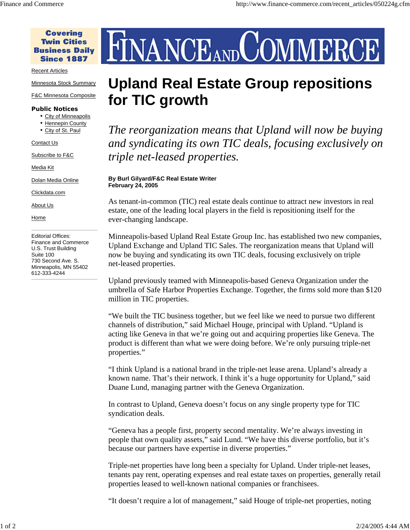## **Covering Twin Cities Business Daily Since 1887**

Recent Articles

Minnesota Stock Summary

F&C Minnesota Composite

## **Public Notices**

- City of Minneapolis
- Hennepin County
- City of St. Paul

Contact Us

Subscribe to F&C

Media Kit

Dolan Media Online

Clickdata.com

About Us

**Home** 

Editorial Offices: Finance and Commerce U.S. Trust Building Suite 100 730 Second Ave. S. Minneapolis, MN 55402 612-333-4244

## FINANCE<sub>AND</sub>COMMERCE

## **Upland Real Estate Group repositions for TIC growth**

*The reorganization means that Upland will now be buying and syndicating its own TIC deals, focusing exclusively on triple net-leased properties.*

**By Burl Gilyard/F&C Real Estate Writer February 24, 2005**

As tenant-in-common (TIC) real estate deals continue to attract new investors in real estate, one of the leading local players in the field is repositioning itself for the ever-changing landscape.

Minneapolis-based Upland Real Estate Group Inc. has established two new companies, Upland Exchange and Upland TIC Sales. The reorganization means that Upland will now be buying and syndicating its own TIC deals, focusing exclusively on triple net-leased properties.

Upland previously teamed with Minneapolis-based Geneva Organization under the umbrella of Safe Harbor Properties Exchange. Together, the firms sold more than \$120 million in TIC properties.

"We built the TIC business together, but we feel like we need to pursue two different channels of distribution," said Michael Houge, principal with Upland. "Upland is acting like Geneva in that we're going out and acquiring properties like Geneva. The product is different than what we were doing before. We're only pursuing triple-net properties."

"I think Upland is a national brand in the triple-net lease arena. Upland's already a known name. That's their network. I think it's a huge opportunity for Upland," said Duane Lund, managing partner with the Geneva Organization.

In contrast to Upland, Geneva doesn't focus on any single property type for TIC syndication deals.

"Geneva has a people first, property second mentality. We're always investing in people that own quality assets," said Lund. "We have this diverse portfolio, but it's because our partners have expertise in diverse properties."

Triple-net properties have long been a specialty for Upland. Under triple-net leases, tenants pay rent, operating expenses and real estate taxes on properties, generally retail properties leased to well-known national companies or franchisees.

"It doesn't require a lot of management," said Houge of triple-net properties, noting